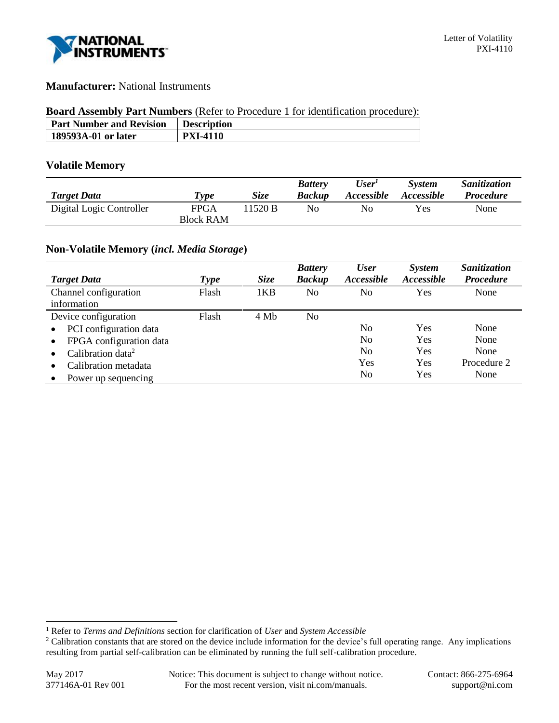

## **Manufacturer:** National Instruments

#### **Board Assembly Part Numbers** (Refer to Procedure 1 for identification procedure):

| <b>Part Number and Revision</b> | <b>Description</b> |
|---------------------------------|--------------------|
| 189593A-01 or later             | <b>PXI-4110</b>    |

## **Volatile Memory**

| <b>Target Data</b>       | $\tau_{\textit{ype}}$ | <i>Size</i> | <b>Battery</b><br><b>Backup</b> | User <sup>1</sup><br><i><b>Accessible</b></i> | <b>System</b><br><i>Accessible</i> | Sanitization<br><i>Procedure</i> |
|--------------------------|-----------------------|-------------|---------------------------------|-----------------------------------------------|------------------------------------|----------------------------------|
| Digital Logic Controller | FPGA                  | 11520 B     | No                              | $N_{\Omega}$                                  | <b>Yes</b>                         | None                             |
|                          | <b>Block RAM</b>      |             |                                 |                                               |                                    |                                  |

# **Non-Volatile Memory (***incl. Media Storage***)**

|                                     |             |             | <b>Battery</b> | <b>User</b> | <b>System</b> | Sanitization     |
|-------------------------------------|-------------|-------------|----------------|-------------|---------------|------------------|
| <b>Target Data</b>                  | <b>Type</b> | <i>Size</i> | <b>Backup</b>  | Accessible  | Accessible    | <b>Procedure</b> |
| Channel configuration               | Flash       | 1KB         | No             | No          | Yes           | None             |
| information                         |             |             |                |             |               |                  |
| Device configuration                | Flash       | 4 Mb        | No             |             |               |                  |
| PCI configuration data<br>$\bullet$ |             |             |                | No          | Yes           | None             |
| FPGA configuration data             |             |             |                | No          | Yes           | None             |
| Calibration data <sup>2</sup>       |             |             |                | No          | Yes           | None             |
| Calibration metadata                |             |             |                | Yes         | Yes           | Procedure 2      |
| Power up sequencing                 |             |             |                | No          | Yes           | None             |

l

<sup>1</sup> Refer to *Terms and Definitions* section for clarification of *User* and *System Accessible*

<sup>&</sup>lt;sup>2</sup> Calibration constants that are stored on the device include information for the device's full operating range. Any implications resulting from partial self-calibration can be eliminated by running the full self-calibration procedure.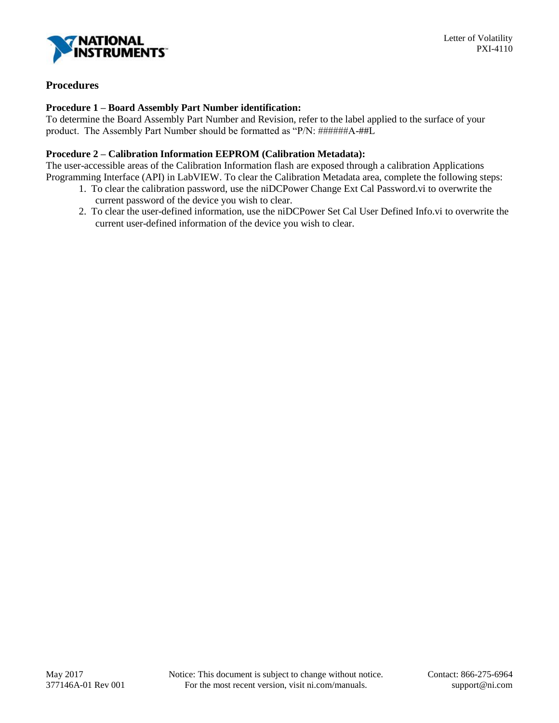

# **Procedures**

### **Procedure 1 – Board Assembly Part Number identification:**

To determine the Board Assembly Part Number and Revision, refer to the label applied to the surface of your product. The Assembly Part Number should be formatted as "P/N: ######A-##L

#### **Procedure 2 – Calibration Information EEPROM (Calibration Metadata):**

The user-accessible areas of the Calibration Information flash are exposed through a calibration Applications Programming Interface (API) in LabVIEW. To clear the Calibration Metadata area, complete the following steps:

- 1. To clear the calibration password, use the niDCPower Change Ext Cal Password.vi to overwrite the current password of the device you wish to clear.
- 2. To clear the user-defined information, use the niDCPower Set Cal User Defined Info.vi to overwrite the current user-defined information of the device you wish to clear.